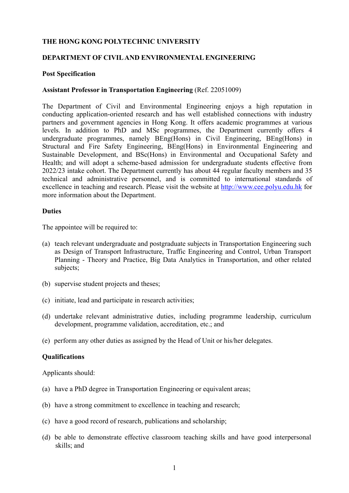### **THE HONG KONG POLYTECHNIC UNIVERSITY**

### **DEPARTMENT OF CIVIL AND ENVIRONMENTAL ENGINEERING**

### **Post Specification**

### **Assistant Professor in Transportation Engineering** (Ref. 22051009)

The Department of Civil and Environmental Engineering enjoys a high reputation in conducting application-oriented research and has well established connections with industry partners and government agencies in Hong Kong. It offers academic programmes at various levels. In addition to PhD and MSc programmes, the Department currently offers 4 undergraduate programmes, namely BEng(Hons) in Civil Engineering, BEng(Hons) in Structural and Fire Safety Engineering, BEng(Hons) in Environmental Engineering and Sustainable Development, and BSc(Hons) in Environmental and Occupational Safety and Health; and will adopt a scheme-based admission for undergraduate students effective from 2022/23 intake cohort. The Department currently has about 44 regular faculty members and 35 technical and administrative personnel, and is committed to international standards of excellence in teaching and research. Please visit the website at http://www.cee.polyu.edu.hk for more information about the Department.

### **Duties**

The appointee will be required to:

- (a) teach relevant undergraduate and postgraduate subjects in Transportation Engineering such as Design of Transport Infrastructure, Traffic Engineering and Control, Urban Transport Planning - Theory and Practice, Big Data Analytics in Transportation, and other related subjects;
- (b) supervise student projects and theses;
- (c) initiate, lead and participate in research activities;
- (d) undertake relevant administrative duties, including programme leadership, curriculum development, programme validation, accreditation, etc.; and
- (e) perform any other duties as assigned by the Head of Unit or his/her delegates.

#### **Qualifications**

Applicants should:

- (a) have a PhD degree in Transportation Engineering or equivalent areas;
- (b) have a strong commitment to excellence in teaching and research;
- (c) have a good record of research, publications and scholarship;
- (d) be able to demonstrate effective classroom teaching skills and have good interpersonal skills; and